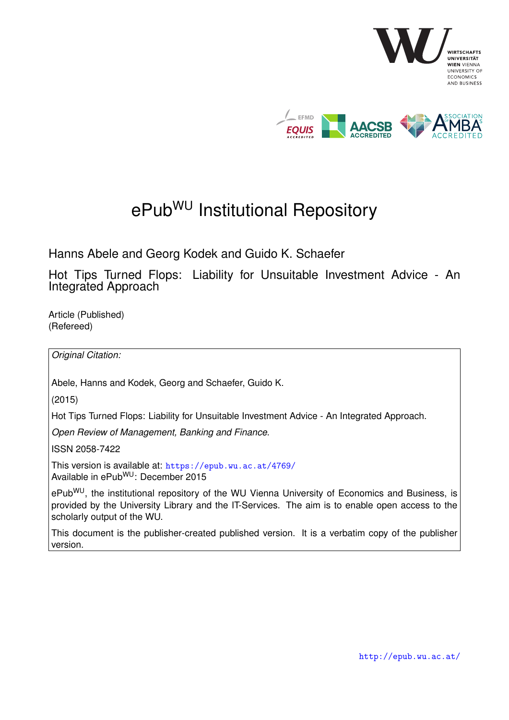

# ePub<sup>WU</sup> Institutional Repository

Hanns Abele and Georg Kodek and Guido K. Schaefer

Hot Tips Turned Flops: Liability for Unsuitable Investment Advice - An Integrated Approach

Article (Published) (Refereed)

*Original Citation:*

Abele, Hanns and Kodek, Georg and Schaefer, Guido K.

(2015)

Hot Tips Turned Flops: Liability for Unsuitable Investment Advice - An Integrated Approach.

*Open Review of Management, Banking and Finance*.

ISSN 2058-7422

This version is available at: <https://epub.wu.ac.at/4769/> Available in ePubWU: December 2015

ePub<sup>WU</sup>, the institutional repository of the WU Vienna University of Economics and Business, is provided by the University Library and the IT-Services. The aim is to enable open access to the scholarly output of the WU.

This document is the publisher-created published version. It is a verbatim copy of the publisher version.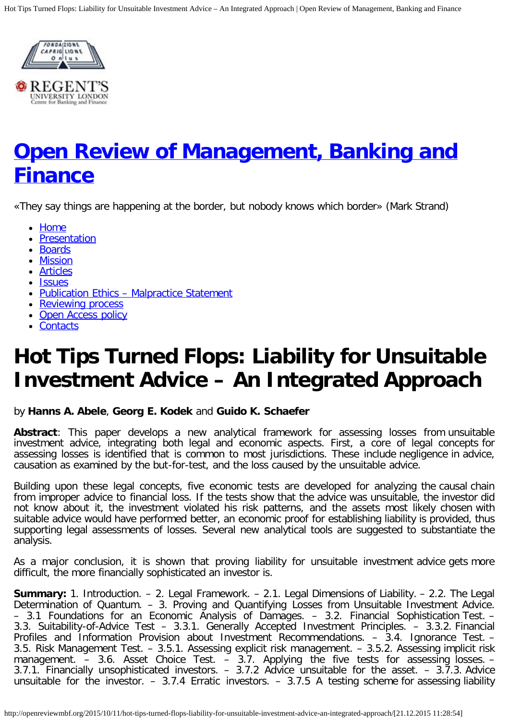<span id="page-1-0"></span>

# **[Open Review of Management, Banking and](http://openreviewmbf.org/) [Finance](http://openreviewmbf.org/)**

«They say things are happening at the border, but nobody knows which border» (Mark Strand)

- [Home](http://openreviewmbf.org/)
- [Presentation](http://openreviewmbf.org/presentation-2/)
- [Boards](http://openreviewmbf.org/boards-3/)
- [Mission](http://openreviewmbf.org/mission/)
- [Articles](http://openreviewmbf.org/archives/)
- [Issues](http://openreviewmbf.org/issues/)
- Publication Ethics Malpractice Statement
- [Reviewing process](http://openreviewmbf.org/boards/)
- [Open Access policy](http://openreviewmbf.org/info/)
- [Contacts](http://openreviewmbf.org/contacts/)

# **Hot Tips Turned Flops: Liability for Unsuitable Investment Advice – An Integrated Approach**

## by **Hanns A. Abele**, **Georg E. Kodek** and **Guido K. Schaefer**

**Abstract**: This paper develops a new analytical framework for assessing losses from unsuitable investment advice, integrating both legal and economic aspects. First, a core of legal concepts for assessing losses is identified that is common to most jurisdictions. These include negligence in advice, causation as examined by the but-for-test, and the loss caused by the unsuitable advice.

Building upon these legal concepts, five economic tests are developed for analyzing the causal chain from improper advice to financial loss. If the tests show that the advice was unsuitable, the investor did not know about it, the investment violated his risk patterns, and the assets most likely chosen with suitable advice would have performed better, an economic proof for establishing liability is provided, thus supporting legal assessments of losses. Several new analytical tools are suggested to substantiate the analysis.

As a major conclusion, it is shown that proving liability for unsuitable investment advice gets more difficult, the more financially sophisticated an investor is.

**Summary:** 1. Introduction. – 2. Legal Framework. – 2.1. Legal Dimensions of Liability. – 2.2. The Legal Determination of Quantum. – 3. Proving and Quantifying Losses from Unsuitable Investment Advice. – 3.1 Foundations for an Economic Analysis of Damages. – 3.2. Financial Sophistication Test. – 3.3. Suitability-of-Advice Test – 3.3.1. Generally Accepted Investment Principles. – 3.3.2. Financial Profiles and Information Provision about Investment Recommendations. – 3.4. Ignorance Test. – 3.5. Risk Management Test. – 3.5.1. Assessing explicit risk management. – 3.5.2. Assessing implicit risk management. – 3.6. Asset Choice Test. – 3.7. Applying the five tests for assessing losses. – 3.7.1. Financially unsophisticated investors. – 3.7.2 Advice unsuitable for the asset. – 3.7.3. Advice unsuitable for the investor.  $-$  3.7.4 Erratic investors.  $-$  3.7.5 A testing scheme for assessing liability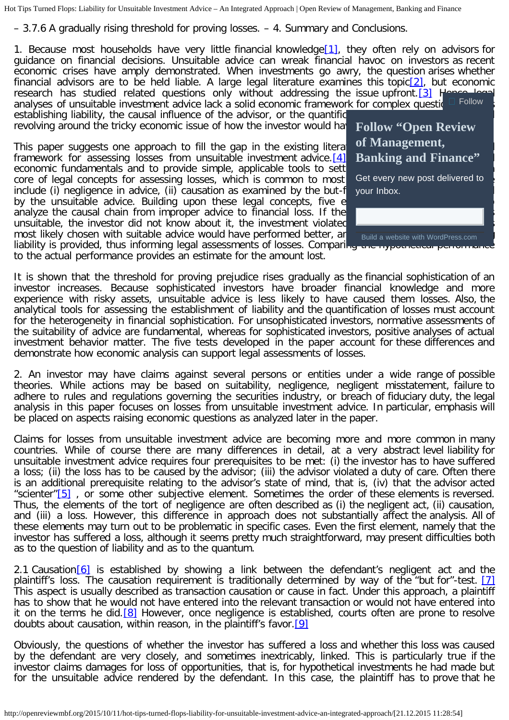– 3.7.6 A gradually rising threshold for proving losses. – 4. Summary and Conclusions.

<span id="page-2-1"></span><span id="page-2-0"></span>1. Because most households have very little financial knowledge[\[1\],](#page-14-0) they often rely on advisors for guidance on financial decisions. Unsuitable advice can wreak financial havoc on investors as recent economic crises have amply demonstrated. When investments go awry, the question arises whether financial advisors are to be held liable. A large legal literature examines this topic<sup>[2]</sup>, but economic research has studied related questions only without addressing the issue upfront.  $[3]$  H analyses of unsuitable investment advice lack a solid economic framework for complex questions establishing liability, the causal influence of the advisor, or the quantific [Follow](javascript:void(0))

<span id="page-2-2"></span>revolving around the tricky economic issue of how the investor would ha

<span id="page-2-3"></span>This paper suggests one approach to fill the gap in the existing literature by developing and an analytical and an analytical and an analytical and an analytical and an analytical and an analytical and an analytical and an framework for assessing losses from unsuitable investment advice.  $[4]$ economic fundamentals and to provide simple, applicable tools to sett core of legal concepts for assessing losses, which is common to most include (i) negligence in advice, (ii) causation as examined by the but-f by the unsuitable advice. Building upon these legal concepts, five e analyze the causal chain from improper advice to financial loss. If the unsuitable, the investor did not know about it, the investment violated most likely chosen with suitable advice would have performed better, an



liability is provided, thus informing legal assessments of losses. Comparing the hypothetical to the actual performance provides an estimate for the amount lost.

It is shown that the threshold for proving prejudice rises gradually as the financial sophistication of an investor increases. Because sophisticated investors have broader financial knowledge and more experience with risky assets, unsuitable advice is less likely to have caused them losses. Also, the analytical tools for assessing the establishment of liability and the quantification of losses must account for the heterogeneity in financial sophistication. For unsophisticated investors, normative assessments of the suitability of advice are fundamental, whereas for sophisticated investors, positive analyses of actual investment behavior matter. The five tests developed in the paper account for these differences and demonstrate how economic analysis can support legal assessments of losses.

2. An investor may have claims against several persons or entities under a wide range of possible theories. While actions may be based on suitability, negligence, negligent misstatement, failure to adhere to rules and regulations governing the securities industry, or breach of fiduciary duty, the legal analysis in this paper focuses on losses from unsuitable investment advice. In particular, emphasis will be placed on aspects raising economic questions as analyzed later in the paper.

<span id="page-2-4"></span>Claims for losses from unsuitable investment advice are becoming more and more common in many countries. While of course there are many differences in detail, at a very abstract level liability for unsuitable investment advice requires four prerequisites to be met: (i) the investor has to have suffered a loss; (ii) the loss has to be caused by the advisor; (iii) the advisor violated a duty of care. Often there is an additional prerequisite relating to the advisor's state of mind, that is, (iv) that the advisor acted "scienter" $[5]$ , or some other subjective element. Sometimes the order of these elements is reversed. Thus, the elements of the tort of negligence are often described as (i) the negligent act, (ii) causation, and (iii) a loss. However, this difference in approach does not substantially affect the analysis. All of these elements may turn out to be problematic in specific cases. Even the first element, namely that the investor has suffered a loss, although it seems pretty much straightforward, may present difficulties both as to the question of liability and as to the quantum.

<span id="page-2-6"></span><span id="page-2-5"></span>2.1 Causation  $[6]$  is established by showing a link between the defendant's negligent act and the plaintiff's loss. The causation requirement is traditionally determined by way of the "but for"-test. [\[7\]](#page-15-3) This aspect is usually described as transaction causation or cause in fact. Under this approach, a plaintiff has to show that he would not have entered into the relevant transaction or would not have entered into it on the terms he did.<sup>[\[8\]](#page-15-4)</sup> However, once negligence is established, courts often are prone to resolve doubts about causation, within reason, in the plaintiff's favor. [\[9\]](#page-15-5)

<span id="page-2-8"></span><span id="page-2-7"></span>Obviously, the questions of whether the investor has suffered a loss and whether this loss was caused by the defendant are very closely, and sometimes inextricably, linked. This is particularly true if the investor claims damages for loss of opportunities, that is, for hypothetical investments he had made but for the unsuitable advice rendered by the defendant. In this case, the plaintiff has to prove that he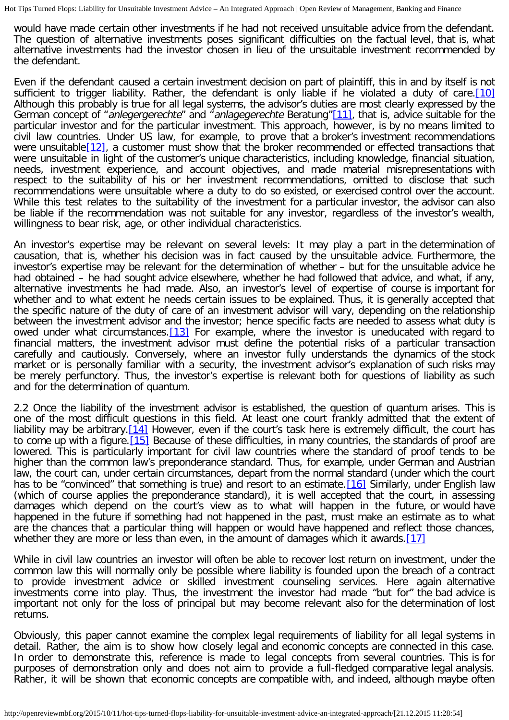would have made certain other investments if he had not received unsuitable advice from the defendant. The question of alternative investments poses significant difficulties on the factual level, that is, what alternative investments had the investor chosen in lieu of the unsuitable investment recommended by the defendant.

<span id="page-3-2"></span><span id="page-3-1"></span><span id="page-3-0"></span>Even if the defendant caused a certain investment decision on part of plaintiff, this in and by itself is not sufficient to trigger liability. Rather, the defendant is only liable if he violated a duty of care.[\[10\]](#page-15-6) Although this probably is true for all legal systems, the advisor's duties are most clearly expressed by the German concept of "anlegergerechte" and "anlagegerechte Beratung"[\[11\],](#page-15-7) that is, advice suitable for the particular investor and for the particular investment. This approach, however, is by no means limited to civil law countries. Under US law, for example, to prove that a broker's investment recommendations were unsuitable[\[12\],](#page-15-8) a customer must show that the broker recommended or effected transactions that were unsuitable in light of the customer's unique characteristics, including knowledge, financial situation, needs, investment experience, and account objectives, and made material misrepresentations with respect to the suitability of his or her investment recommendations, omitted to disclose that such recommendations were unsuitable where a duty to do so existed, or exercised control over the account. While this test relates to the suitability of the investment for a particular investor, the advisor can also be liable if the recommendation was not suitable for any investor, regardless of the investor's wealth, willingness to bear risk, age, or other individual characteristics.

An investor's expertise may be relevant on several levels: It may play a part in the determination of causation, that is, whether his decision was in fact caused by the unsuitable advice. Furthermore, the investor's expertise may be relevant for the determination of whether – but for the unsuitable advice he had obtained – he had sought advice elsewhere, whether he had followed that advice, and what, if any, alternative investments he had made. Also, an investor's level of expertise of course is important for whether and to what extent he needs certain issues to be explained. Thus, it is generally accepted that the specific nature of the duty of care of an investment advisor will vary, depending on the relationship between the investment advisor and the investor; hence specific facts are needed to assess what duty is owed under what circumstances.[\[13\]](#page-15-9) For example, where the investor is uneducated with regard to financial matters, the investment advisor must define the potential risks of a particular transaction carefully and cautiously. Conversely, where an investor fully understands the dynamics of the stock market or is personally familiar with a security, the investment advisor's explanation of such risks may be merely perfunctory. Thus, the investor's expertise is relevant both for questions of liability as such and for the determination of quantum.

<span id="page-3-6"></span><span id="page-3-5"></span><span id="page-3-4"></span><span id="page-3-3"></span>2.2 Once the liability of the investment advisor is established, the question of quantum arises. This is one of the most difficult questions in this field. At least one court frankly admitted that the extent of liability may be arbitrary. [14] However, even if the court's task here is extremely difficult, the court has to come up with a figure. [\[15\]](#page-15-11) Because of these difficulties, in many countries, the standards of proof are lowered. This is particularly important for civil law countries where the standard of proof tends to be higher than the common law's preponderance standard. Thus, for example, under German and Austrian law, the court can, under certain circumstances, depart from the normal standard (under which the court has to be "convinced" that something is true) and resort to an estimate. [\[16\]](#page-15-12) Similarly, under English law (which of course applies the preponderance standard), it is well accepted that the court, in assessing damages which depend on the court's view as to what will happen in the future, or would have happened in the future if something had not happened in the past, must make an estimate as to what are the chances that a particular thing will happen or would have happened and reflect those chances, whether they are more or less than even, in the amount of damages which it awards.  $[17]$ 

<span id="page-3-7"></span>While in civil law countries an investor will often be able to recover lost return on investment, under the common law this will normally only be possible where liability is founded upon the breach of a contract to provide investment advice or skilled investment counseling services. Here again alternative investments come into play. Thus, the investment the investor had made "but for" the bad advice is important not only for the loss of principal but may become relevant also for the determination of lost returns.

Obviously, this paper cannot examine the complex legal requirements of liability for all legal systems in detail. Rather, the aim is to show how closely legal and economic concepts are connected in this case. In order to demonstrate this, reference is made to legal concepts from several countries. This is for purposes of demonstration only and does not aim to provide a full-fledged comparative legal analysis. Rather, it will be shown that economic concepts are compatible with, and indeed, although maybe often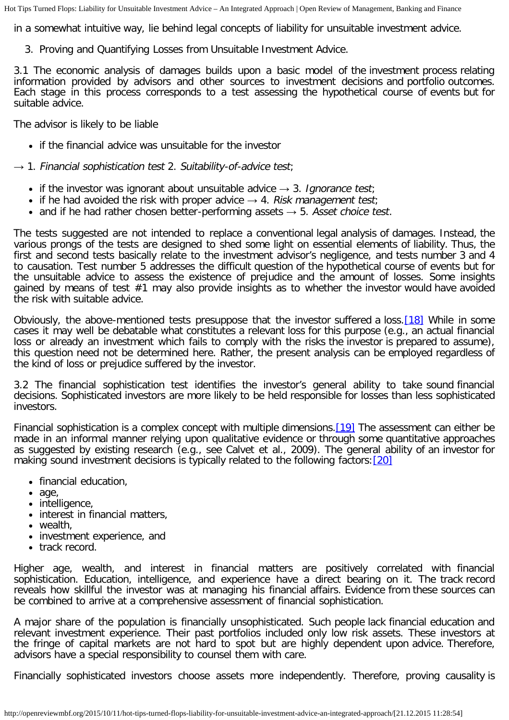in a somewhat intuitive way, lie behind legal concepts of liability for unsuitable investment advice.

3. Proving and Quantifying Losses from Unsuitable Investment Advice.

3.1 The economic analysis of damages builds upon a basic model of the investment process relating information provided by advisors and other sources to investment decisions and portfolio outcomes. Each stage in this process corresponds to a test assessing the hypothetical course of events but for suitable advice.

The advisor is likely to be liable

• if the financial advice was unsuitable for the investor

 $\rightarrow$  1. Financial sophistication test 2. Suitability-of-advice test;

- if the investor was ignorant about unsuitable advice  $\rightarrow$  3. Ignorance test;
- if he had avoided the risk with proper advice  $\rightarrow$  4. Risk management test;
- and if he had rather chosen better-performing assets  $\rightarrow$  5. Asset choice test.

The tests suggested are not intended to replace a conventional legal analysis of damages. Instead, the various prongs of the tests are designed to shed some light on essential elements of liability. Thus, the first and second tests basically relate to the investment advisor's negligence, and tests number 3 and 4 to causation. Test number 5 addresses the difficult question of the hypothetical course of events but for the unsuitable advice to assess the existence of prejudice and the amount of losses. Some insights gained by means of test #1 may also provide insights as to whether the investor would have avoided the risk with suitable advice.

<span id="page-4-0"></span>Obviously, the above-mentioned tests presuppose that the investor suffered a loss.[\[18\]](#page-15-14) While in some cases it may well be debatable what constitutes a relevant loss for this purpose (e.g., an actual financial loss or already an investment which fails to comply with the risks the investor is prepared to assume), this question need not be determined here. Rather, the present analysis can be employed regardless of the kind of loss or prejudice suffered by the investor.

3.2 The financial sophistication test identifies the investor's general ability to take sound financial decisions. Sophisticated investors are more likely to be held responsible for losses than less sophisticated investors.

<span id="page-4-2"></span><span id="page-4-1"></span>Financial sophistication is a complex concept with multiple dimensions. [\[19\]](#page-15-15) The assessment can either be made in an informal manner relying upon qualitative evidence or through some quantitative approaches as suggested by existing research (e.g., see Calvet et al., 2009). The general ability of an investor for making sound investment decisions is typically related to the following factors: [\[20\]](#page-15-16)

- financial education,
- age,
- intelligence,
- interest in financial matters,
- wealth,
- investment experience, and
- track record.

Higher age, wealth, and interest in financial matters are positively correlated with financial sophistication. Education, intelligence, and experience have a direct bearing on it. The track record reveals how skillful the investor was at managing his financial affairs. Evidence from these sources can be combined to arrive at a comprehensive assessment of financial sophistication.

A major share of the population is financially unsophisticated. Such people lack financial education and relevant investment experience. Their past portfolios included only low risk assets. These investors at the fringe of capital markets are not hard to spot but are highly dependent upon advice. Therefore, advisors have a special responsibility to counsel them with care.

Financially sophisticated investors choose assets more independently. Therefore, proving causality is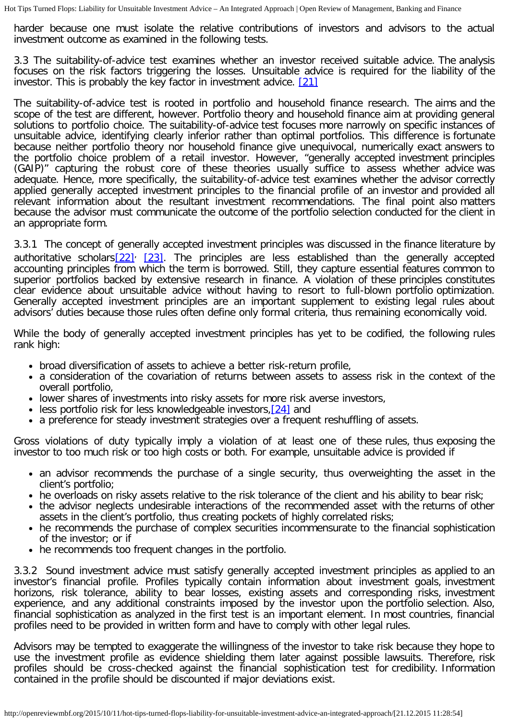harder because one must isolate the relative contributions of investors and advisors to the actual investment outcome as examined in the following tests.

3.3 The suitability-of-advice test examines whether an investor received suitable advice. The analysis focuses on the risk factors triggering the losses. Unsuitable advice is required for the liability of the investor. This is probably the key factor in investment advice. [\[21\]](#page-16-0)

<span id="page-5-0"></span>The suitability-of-advice test is rooted in portfolio and household finance research. The aims and the scope of the test are different, however. Portfolio theory and household finance aim at providing general solutions to portfolio choice. The suitability-of-advice test focuses more narrowly on specific instances of unsuitable advice, identifying clearly inferior rather than optimal portfolios. This difference is fortunate because neither portfolio theory nor household finance give unequivocal, numerically exact answers to the portfolio choice problem of a retail investor. However, "generally accepted investment principles (GAIP)" capturing the robust core of these theories usually suffice to assess whether advice was adequate. Hence, more specifically, the suitability-of-advice test examines whether the advisor correctly applied generally accepted investment principles to the financial profile of an investor and provided all relevant information about the resultant investment recommendations. The final point also matters because the advisor must communicate the outcome of the portfolio selection conducted for the client in an appropriate form.

<span id="page-5-1"></span>3.3.1 The concept of generally accepted investment principles was discussed in the finance literature by authoritative scholars $[22]$ ,  $[23]$ . The principles are less established than the generally accepted accounting principles from which the term is borrowed. Still, they capture essential features common to superior portfolios backed by extensive research in finance. A violation of these principles constitutes clear evidence about unsuitable advice without having to resort to full-blown portfolio optimization. Generally accepted investment principles are an important supplement to existing legal rules about advisors' duties because those rules often define only formal criteria, thus remaining economically void.

While the body of generally accepted investment principles has yet to be codified, the following rules rank high:

- broad diversification of assets to achieve a better risk-return profile,
- a consideration of the covariation of returns between assets to assess risk in the context of the overall portfolio,
- lower shares of investments into risky assets for more risk averse investors,
- <span id="page-5-2"></span>• less portfolio risk for less knowledgeable investors, [\[24\]](#page-16-3) and
- a preference for steady investment strategies over a frequent reshuffling of assets.

Gross violations of duty typically imply a violation of at least one of these rules, thus exposing the investor to too much risk or too high costs or both. For example, unsuitable advice is provided if

- an advisor recommends the purchase of a single security, thus overweighting the asset in the client's portfolio;
- he overloads on risky assets relative to the risk tolerance of the client and his ability to bear risk;
- the advisor neglects undesirable interactions of the recommended asset with the returns of other assets in the client's portfolio, thus creating pockets of highly correlated risks;
- he recommends the purchase of complex securities incommensurate to the financial sophistication of the investor; or if
- he recommends too frequent changes in the portfolio.

3.3.2 Sound investment advice must satisfy generally accepted investment principles as applied to an investor's financial profile. Profiles typically contain information about investment goals, investment horizons, risk tolerance, ability to bear losses, existing assets and corresponding risks, investment experience, and any additional constraints imposed by the investor upon the portfolio selection. Also, financial sophistication as analyzed in the first test is an important element. In most countries, financial profiles need to be provided in written form and have to comply with other legal rules.

Advisors may be tempted to exaggerate the willingness of the investor to take risk because they hope to use the investment profile as evidence shielding them later against possible lawsuits. Therefore, risk profiles should be cross-checked against the financial sophistication test for credibility. Information contained in the profile should be discounted if major deviations exist.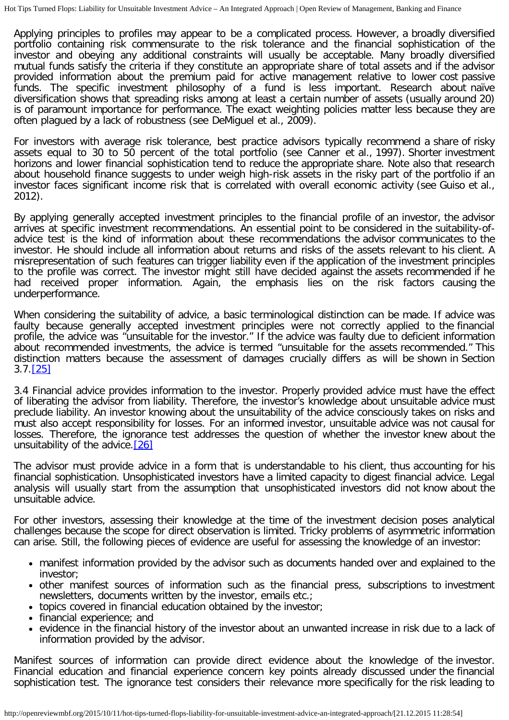Applying principles to profiles may appear to be a complicated process. However, a broadly diversified portfolio containing risk commensurate to the risk tolerance and the financial sophistication of the investor and obeying any additional constraints will usually be acceptable. Many broadly diversified mutual funds satisfy the criteria if they constitute an appropriate share of total assets and if the advisor provided information about the premium paid for active management relative to lower cost passive funds. The specific investment philosophy of a fund is less important. Research about naïve diversification shows that spreading risks among at least a certain number of assets (usually around 20) is of paramount importance for performance. The exact weighting policies matter less because they are often plagued by a lack of robustness (see DeMiguel et al., 2009).

For investors with average risk tolerance, best practice advisors typically recommend a share of risky assets equal to 30 to 50 percent of the total portfolio (see Canner et al., 1997). Shorter investment horizons and lower financial sophistication tend to reduce the appropriate share. Note also that research about household finance suggests to under weigh high-risk assets in the risky part of the portfolio if an investor faces significant income risk that is correlated with overall economic activity (see Guiso et al., 2012).

By applying generally accepted investment principles to the financial profile of an investor, the advisor arrives at specific investment recommendations. An essential point to be considered in the suitability-ofadvice test is the kind of information about these recommendations the advisor communicates to the investor. He should include all information about returns and risks of the assets relevant to his client. A misrepresentation of such features can trigger liability even if the application of the investment principles to the profile was correct. The investor might still have decided against the assets recommended if he had received proper information. Again, the emphasis lies on the risk factors causing the underperformance.

When considering the suitability of advice, a basic terminological distinction can be made. If advice was faulty because generally accepted investment principles were not correctly applied to the financial profile, the advice was "unsuitable for the investor." If the advice was faulty due to deficient information about recommended investments, the advice is termed "unsuitable for the assets recommended." This distinction matters because the assessment of damages crucially differs as will be shown in Section 3.7.[\[25\]](#page-16-4)

<span id="page-6-0"></span>3.4 Financial advice provides information to the investor. Properly provided advice must have the effect of liberating the advisor from liability. Therefore, the investor's knowledge about unsuitable advice must preclude liability. An investor knowing about the unsuitability of the advice consciously takes on risks and must also accept responsibility for losses. For an informed investor, unsuitable advice was not causal for losses. Therefore, the ignorance test addresses the question of whether the investor knew about the unsuitability of the advice. [\[26\]](#page-16-5)

<span id="page-6-1"></span>The advisor must provide advice in a form that is understandable to his client, thus accounting for his financial sophistication. Unsophisticated investors have a limited capacity to digest financial advice. Legal analysis will usually start from the assumption that unsophisticated investors did not know about the unsuitable advice.

For other investors, assessing their knowledge at the time of the investment decision poses analytical challenges because the scope for direct observation is limited. Tricky problems of asymmetric information can arise. Still, the following pieces of evidence are useful for assessing the knowledge of an investor:

- manifest information provided by the advisor such as documents handed over and explained to the investor;
- other manifest sources of information such as the financial press, subscriptions to investment newsletters, documents written by the investor, emails etc.;
- topics covered in financial education obtained by the investor;
- financial experience; and
- evidence in the financial history of the investor about an unwanted increase in risk due to a lack of information provided by the advisor.

Manifest sources of information can provide direct evidence about the knowledge of the investor. Financial education and financial experience concern key points already discussed under the financial sophistication test. The ignorance test considers their relevance more specifically for the risk leading to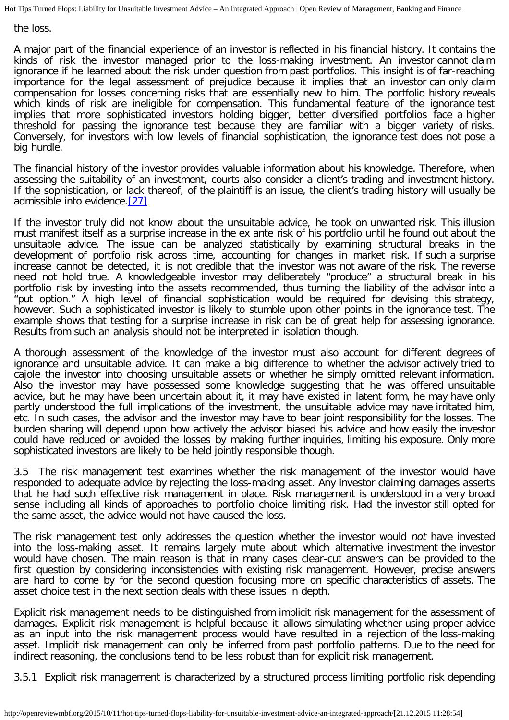the loss.

A major part of the financial experience of an investor is reflected in his financial history. It contains the kinds of risk the investor managed prior to the loss-making investment. An investor cannot claim ignorance if he learned about the risk under question from past portfolios. This insight is of far-reaching importance for the legal assessment of prejudice because it implies that an investor can only claim compensation for losses concerning risks that are essentially new to him. The portfolio history reveals which kinds of risk are ineligible for compensation. This fundamental feature of the ignorance test implies that more sophisticated investors holding bigger, better diversified portfolios face a higher threshold for passing the ignorance test because they are familiar with a bigger variety of risks. Conversely, for investors with low levels of financial sophistication, the ignorance test does not pose a big hurdle.

The financial history of the investor provides valuable information about his knowledge. Therefore, when assessing the suitability of an investment, courts also consider a client's trading and investment history. If the sophistication, or lack thereof, of the plaintiff is an issue, the client's trading history will usually be admissible into evidence.[\[27\]](#page-16-6)

<span id="page-7-0"></span>If the investor truly did not know about the unsuitable advice, he took on unwanted risk. This illusion must manifest itself as a surprise increase in the ex ante risk of his portfolio until he found out about the unsuitable advice. The issue can be analyzed statistically by examining structural breaks in the development of portfolio risk across time, accounting for changes in market risk. If such a surprise increase cannot be detected, it is not credible that the investor was not aware of the risk. The reverse need not hold true. A knowledgeable investor may deliberately "produce" a structural break in his portfolio risk by investing into the assets recommended, thus turning the liability of the advisor into a "put option." A high level of financial sophistication would be required for devising this strategy, however. Such a sophisticated investor is likely to stumble upon other points in the ignorance test. The example shows that testing for a surprise increase in risk can be of great help for assessing ignorance. Results from such an analysis should not be interpreted in isolation though.

A thorough assessment of the knowledge of the investor must also account for different degrees of ignorance and unsuitable advice. It can make a big difference to whether the advisor actively tried to cajole the investor into choosing unsuitable assets or whether he simply omitted relevant information. Also the investor may have possessed some knowledge suggesting that he was offered unsuitable advice, but he may have been uncertain about it, it may have existed in latent form, he may have only partly understood the full implications of the investment, the unsuitable advice may have irritated him, etc. In such cases, the advisor and the investor may have to bear joint responsibility for the losses. The burden sharing will depend upon how actively the advisor biased his advice and how easily the investor could have reduced or avoided the losses by making further inquiries, limiting his exposure. Only more sophisticated investors are likely to be held jointly responsible though.

3.5 The risk management test examines whether the risk management of the investor would have responded to adequate advice by rejecting the loss-making asset. Any investor claiming damages asserts that he had such effective risk management in place. Risk management is understood in a very broad sense including all kinds of approaches to portfolio choice limiting risk. Had the investor still opted for the same asset, the advice would not have caused the loss.

The risk management test only addresses the question whether the investor would not have invested into the loss-making asset. It remains largely mute about which alternative investment the investor would have chosen. The main reason is that in many cases clear-cut answers can be provided to the first question by considering inconsistencies with existing risk management. However, precise answers are hard to come by for the second question focusing more on specific characteristics of assets. The asset choice test in the next section deals with these issues in depth.

Explicit risk management needs to be distinguished from implicit risk management for the assessment of damages. Explicit risk management is helpful because it allows simulating whether using proper advice as an input into the risk management process would have resulted in a rejection of the loss-making asset. Implicit risk management can only be inferred from past portfolio patterns. Due to the need for indirect reasoning, the conclusions tend to be less robust than for explicit risk management.

3.5.1 Explicit risk management is characterized by a structured process limiting portfolio risk depending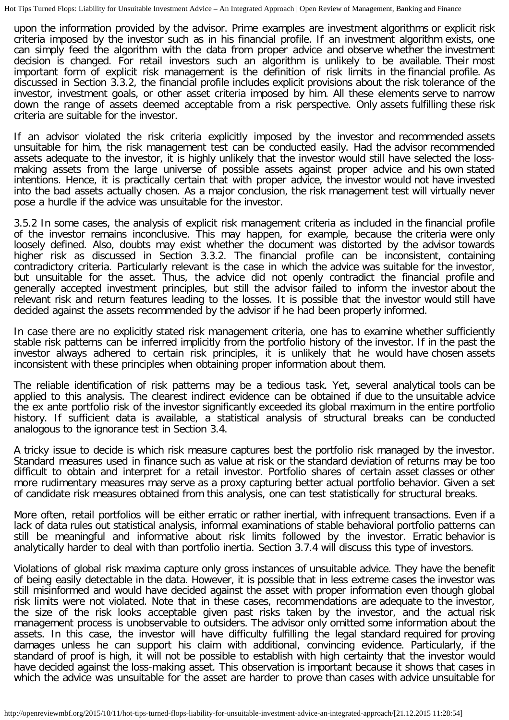upon the information provided by the advisor. Prime examples are investment algorithms or explicit risk criteria imposed by the investor such as in his financial profile. If an investment algorithm exists, one can simply feed the algorithm with the data from proper advice and observe whether the investment decision is changed. For retail investors such an algorithm is unlikely to be available. Their most important form of explicit risk management is the definition of risk limits in the financial profile. As discussed in Section 3.3.2, the financial profile includes explicit provisions about the risk tolerance of the investor, investment goals, or other asset criteria imposed by him. All these elements serve to narrow down the range of assets deemed acceptable from a risk perspective. Only assets fulfilling these risk criteria are suitable for the investor.

If an advisor violated the risk criteria explicitly imposed by the investor and recommended assets unsuitable for him, the risk management test can be conducted easily. Had the advisor recommended assets adequate to the investor, it is highly unlikely that the investor would still have selected the lossmaking assets from the large universe of possible assets against proper advice and his own stated intentions. Hence, it is practically certain that with proper advice, the investor would not have invested into the bad assets actually chosen. As a major conclusion, the risk management test will virtually never pose a hurdle if the advice was unsuitable for the investor.

3.5.2 In some cases, the analysis of explicit risk management criteria as included in the financial profile of the investor remains inconclusive. This may happen, for example, because the criteria were only loosely defined. Also, doubts may exist whether the document was distorted by the advisor towards higher risk as discussed in Section 3.3.2. The financial profile can be inconsistent, containing contradictory criteria. Particularly relevant is the case in which the advice was suitable for the investor, but unsuitable for the asset. Thus, the advice did not openly contradict the financial profile and generally accepted investment principles, but still the advisor failed to inform the investor about the relevant risk and return features leading to the losses. It is possible that the investor would still have decided against the assets recommended by the advisor if he had been properly informed.

In case there are no explicitly stated risk management criteria, one has to examine whether sufficiently stable risk patterns can be inferred implicitly from the portfolio history of the investor. If in the past the investor always adhered to certain risk principles, it is unlikely that he would have chosen assets inconsistent with these principles when obtaining proper information about them.

The reliable identification of risk patterns may be a tedious task. Yet, several analytical tools can be applied to this analysis. The clearest indirect evidence can be obtained if due to the unsuitable advice the ex ante portfolio risk of the investor significantly exceeded its global maximum in the entire portfolio history. If sufficient data is available, a statistical analysis of structural breaks can be conducted analogous to the ignorance test in Section 3.4.

A tricky issue to decide is which risk measure captures best the portfolio risk managed by the investor. Standard measures used in finance such as value at risk or the standard deviation of returns may be too difficult to obtain and interpret for a retail investor. Portfolio shares of certain asset classes or other more rudimentary measures may serve as a proxy capturing better actual portfolio behavior. Given a set of candidate risk measures obtained from this analysis, one can test statistically for structural breaks.

More often, retail portfolios will be either erratic or rather inertial, with infrequent transactions. Even if a lack of data rules out statistical analysis, informal examinations of stable behavioral portfolio patterns can still be meaningful and informative about risk limits followed by the investor. Erratic behavior is analytically harder to deal with than portfolio inertia. Section 3.7.4 will discuss this type of investors.

Violations of global risk maxima capture only gross instances of unsuitable advice. They have the benefit of being easily detectable in the data. However, it is possible that in less extreme cases the investor was still misinformed and would have decided against the asset with proper information even though global risk limits were not violated. Note that in these cases, recommendations are adequate to the investor, the size of the risk looks acceptable given past risks taken by the investor, and the actual risk management process is unobservable to outsiders. The advisor only omitted some information about the assets. In this case, the investor will have difficulty fulfilling the legal standard required for proving damages unless he can support his claim with additional, convincing evidence. Particularly, if the standard of proof is high, it will not be possible to establish with high certainty that the investor would have decided against the loss-making asset. This observation is important because it shows that cases in which the advice was unsuitable for the asset are harder to prove than cases with advice unsuitable for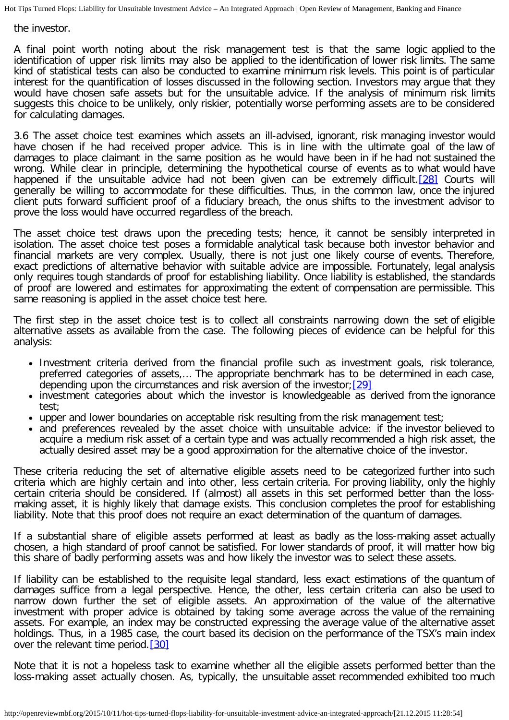the investor.

A final point worth noting about the risk management test is that the same logic applied to the identification of upper risk limits may also be applied to the identification of lower risk limits. The same kind of statistical tests can also be conducted to examine minimum risk levels. This point is of particular interest for the quantification of losses discussed in the following section. Investors may argue that they would have chosen safe assets but for the unsuitable advice. If the analysis of minimum risk limits suggests this choice to be unlikely, only riskier, potentially worse performing assets are to be considered for calculating damages.

<span id="page-9-0"></span>3.6 The asset choice test examines which assets an ill-advised, ignorant, risk managing investor would have chosen if he had received proper advice. This is in line with the ultimate goal of the law of damages to place claimant in the same position as he would have been in if he had not sustained the wrong. While clear in principle, determining the hypothetical course of events as to what would have happened if the unsuitable advice had not been given can be extremely difficult. [\[28\]](#page-16-7) Courts will generally be willing to accommodate for these difficulties. Thus, in the common law, once the injured client puts forward sufficient proof of a fiduciary breach, the onus shifts to the investment advisor to prove the loss would have occurred regardless of the breach.

The asset choice test draws upon the preceding tests; hence, it cannot be sensibly interpreted in isolation. The asset choice test poses a formidable analytical task because both investor behavior and financial markets are very complex. Usually, there is not just one likely course of events. Therefore, exact predictions of alternative behavior with suitable advice are impossible. Fortunately, legal analysis only requires tough standards of proof for establishing liability. Once liability is established, the standards of proof are lowered and estimates for approximating the extent of compensation are permissible. This same reasoning is applied in the asset choice test here.

The first step in the asset choice test is to collect all constraints narrowing down the set of eligible alternative assets as available from the case. The following pieces of evidence can be helpful for this analysis:

- Investment criteria derived from the financial profile such as investment goals, risk tolerance, preferred categories of assets,… The appropriate benchmark has to be determined in each case, depending upon the circumstances and risk aversion of the investor;  $[29]$
- <span id="page-9-1"></span>• investment categories about which the investor is knowledgeable as derived from the ignorance test;
- upper and lower boundaries on acceptable risk resulting from the risk management test;
- and preferences revealed by the asset choice with unsuitable advice: if the investor believed to acquire a medium risk asset of a certain type and was actually recommended a high risk asset, the actually desired asset may be a good approximation for the alternative choice of the investor.

These criteria reducing the set of alternative eligible assets need to be categorized further into such criteria which are highly certain and into other, less certain criteria. For proving liability, only the highly certain criteria should be considered. If (almost) all assets in this set performed better than the lossmaking asset, it is highly likely that damage exists. This conclusion completes the proof for establishing liability. Note that this proof does not require an exact determination of the quantum of damages.

If a substantial share of eligible assets performed at least as badly as the loss-making asset actually chosen, a high standard of proof cannot be satisfied. For lower standards of proof, it will matter how big this share of badly performing assets was and how likely the investor was to select these assets.

If liability can be established to the requisite legal standard, less exact estimations of the quantum of damages suffice from a legal perspective. Hence, the other, less certain criteria can also be used to narrow down further the set of eligible assets. An approximation of the value of the alternative investment with proper advice is obtained by taking some average across the value of the remaining assets. For example, an index may be constructed expressing the average value of the alternative asset holdings. Thus, in a 1985 case, the court based its decision on the performance of the TSX's main index over the relevant time period. [\[30\]](#page-16-9)

<span id="page-9-2"></span>Note that it is not a hopeless task to examine whether all the eligible assets performed better than the loss-making asset actually chosen. As, typically, the unsuitable asset recommended exhibited too much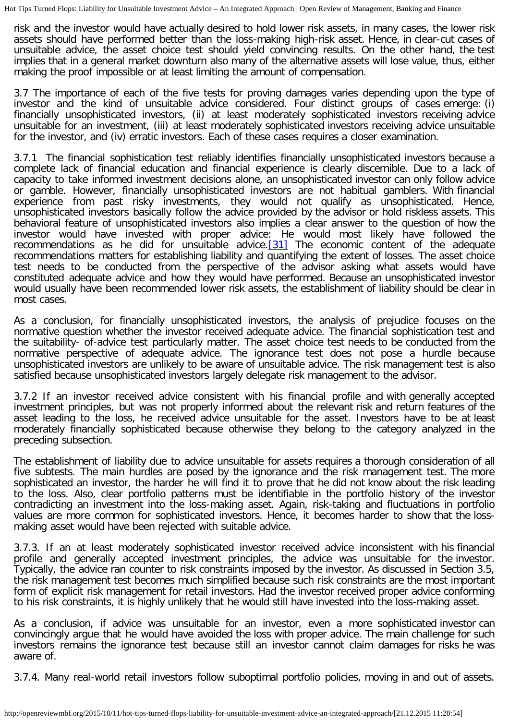risk and the investor would have actually desired to hold lower risk assets, in many cases, the lower risk assets should have performed better than the loss-making high-risk asset. Hence, in clear-cut cases of unsuitable advice, the asset choice test should yield convincing results. On the other hand, the test implies that in a general market downturn also many of the alternative assets will lose value, thus, either making the proof impossible or at least limiting the amount of compensation.

3.7 The importance of each of the five tests for proving damages varies depending upon the type of investor and the kind of unsuitable advice considered. Four distinct groups of cases emerge: (i) financially unsophisticated investors, (ii) at least moderately sophisticated investors receiving advice unsuitable for an investment, (iii) at least moderately sophisticated investors receiving advice unsuitable for the investor, and (iv) erratic investors. Each of these cases requires a closer examination.

3.7.1 The financial sophistication test reliably identifies financially unsophisticated investors because a complete lack of financial education and financial experience is clearly discernible. Due to a lack of capacity to take informed investment decisions alone, an unsophisticated investor can only follow advice or gamble. However, financially unsophisticated investors are not habitual gamblers. With financial experience from past risky investments, they would not qualify as unsophisticated. Hence, unsophisticated investors basically follow the advice provided by the advisor or hold riskless assets. This behavioral feature of unsophisticated investors also implies a clear answer to the question of how the investor would have invested with proper advice: He would most likely have followed the recommendations as he did for unsuitable advice.<sup>[31]</sup> The economic content of the adequate recommendations matters for establishing liability and quantifying the extent of losses. The asset choice test needs to be conducted from the perspective of the advisor asking what assets would have constituted adequate advice and how they would have performed. Because an unsophisticated investor would usually have been recommended lower risk assets, the establishment of liability should be clear in most cases.

<span id="page-10-0"></span>As a conclusion, for financially unsophisticated investors, the analysis of prejudice focuses on the normative question whether the investor received adequate advice. The financial sophistication test and the suitability- of-advice test particularly matter. The asset choice test needs to be conducted from the normative perspective of adequate advice. The ignorance test does not pose a hurdle because unsophisticated investors are unlikely to be aware of unsuitable advice. The risk management test is also satisfied because unsophisticated investors largely delegate risk management to the advisor.

3.7.2 If an investor received advice consistent with his financial profile and with generally accepted investment principles, but was not properly informed about the relevant risk and return features of the asset leading to the loss, he received advice unsuitable for the asset. Investors have to be at least moderately financially sophisticated because otherwise they belong to the category analyzed in the preceding subsection.

The establishment of liability due to advice unsuitable for assets requires a thorough consideration of all five subtests. The main hurdles are posed by the ignorance and the risk management test. The more sophisticated an investor, the harder he will find it to prove that he did not know about the risk leading to the loss. Also, clear portfolio patterns must be identifiable in the portfolio history of the investor contradicting an investment into the loss-making asset. Again, risk-taking and fluctuations in portfolio values are more common for sophisticated investors. Hence, it becomes harder to show that the lossmaking asset would have been rejected with suitable advice.

3.7.3. If an at least moderately sophisticated investor received advice inconsistent with his financial profile and generally accepted investment principles, the advice was unsuitable for the investor. Typically, the advice ran counter to risk constraints imposed by the investor. As discussed in Section 3.5, the risk management test becomes much simplified because such risk constraints are the most important form of explicit risk management for retail investors. Had the investor received proper advice conforming to his risk constraints, it is highly unlikely that he would still have invested into the loss-making asset.

As a conclusion, if advice was unsuitable for an investor, even a more sophisticated investor can convincingly argue that he would have avoided the loss with proper advice. The main challenge for such investors remains the ignorance test because still an investor cannot claim damages for risks he was aware of.

3.7.4. Many real-world retail investors follow suboptimal portfolio policies, moving in and out of assets.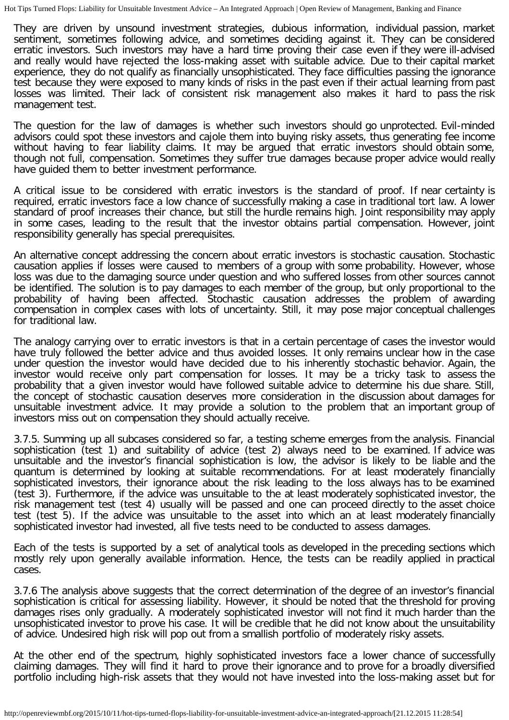They are driven by unsound investment strategies, dubious information, individual passion, market sentiment, sometimes following advice, and sometimes deciding against it. They can be considered erratic investors. Such investors may have a hard time proving their case even if they were ill-advised and really would have rejected the loss-making asset with suitable advice. Due to their capital market experience, they do not qualify as financially unsophisticated. They face difficulties passing the ignorance test because they were exposed to many kinds of risks in the past even if their actual learning from past losses was limited. Their lack of consistent risk management also makes it hard to pass the risk management test.

The question for the law of damages is whether such investors should go unprotected. Evil-minded advisors could spot these investors and cajole them into buying risky assets, thus generating fee income without having to fear liability claims. It may be argued that erratic investors should obtain some, though not full, compensation. Sometimes they suffer true damages because proper advice would really have guided them to better investment performance.

A critical issue to be considered with erratic investors is the standard of proof. If near certainty is required, erratic investors face a low chance of successfully making a case in traditional tort law. A lower standard of proof increases their chance, but still the hurdle remains high. Joint responsibility may apply in some cases, leading to the result that the investor obtains partial compensation. However, joint responsibility generally has special prerequisites.

An alternative concept addressing the concern about erratic investors is stochastic causation. Stochastic causation applies if losses were caused to members of a group with some probability. However, whose loss was due to the damaging source under question and who suffered losses from other sources cannot be identified. The solution is to pay damages to each member of the group, but only proportional to the probability of having been affected. Stochastic causation addresses the problem of awarding compensation in complex cases with lots of uncertainty. Still, it may pose major conceptual challenges for traditional law.

The analogy carrying over to erratic investors is that in a certain percentage of cases the investor would have truly followed the better advice and thus avoided losses. It only remains unclear how in the case under question the investor would have decided due to his inherently stochastic behavior. Again, the investor would receive only part compensation for losses. It may be a tricky task to assess the probability that a given investor would have followed suitable advice to determine his due share. Still, the concept of stochastic causation deserves more consideration in the discussion about damages for unsuitable investment advice. It may provide a solution to the problem that an important group of investors miss out on compensation they should actually receive.

3.7.5. Summing up all subcases considered so far, a testing scheme emerges from the analysis. Financial sophistication (test 1) and suitability of advice (test 2) always need to be examined. If advice was unsuitable and the investor's financial sophistication is low, the advisor is likely to be liable and the quantum is determined by looking at suitable recommendations. For at least moderately financially sophisticated investors, their ignorance about the risk leading to the loss always has to be examined (test 3). Furthermore, if the advice was unsuitable to the at least moderately sophisticated investor, the risk management test (test 4) usually will be passed and one can proceed directly to the asset choice test (test 5). If the advice was unsuitable to the asset into which an at least moderately financially sophisticated investor had invested, all five tests need to be conducted to assess damages.

Each of the tests is supported by a set of analytical tools as developed in the preceding sections which mostly rely upon generally available information. Hence, the tests can be readily applied in practical cases.

3.7.6 The analysis above suggests that the correct determination of the degree of an investor's financial sophistication is critical for assessing liability. However, it should be noted that the threshold for proving damages rises only gradually. A moderately sophisticated investor will not find it much harder than the unsophisticated investor to prove his case. It will be credible that he did not know about the unsuitability of advice. Undesired high risk will pop out from a smallish portfolio of moderately risky assets.

At the other end of the spectrum, highly sophisticated investors face a lower chance of successfully claiming damages. They will find it hard to prove their ignorance and to prove for a broadly diversified portfolio including high-risk assets that they would not have invested into the loss-making asset but for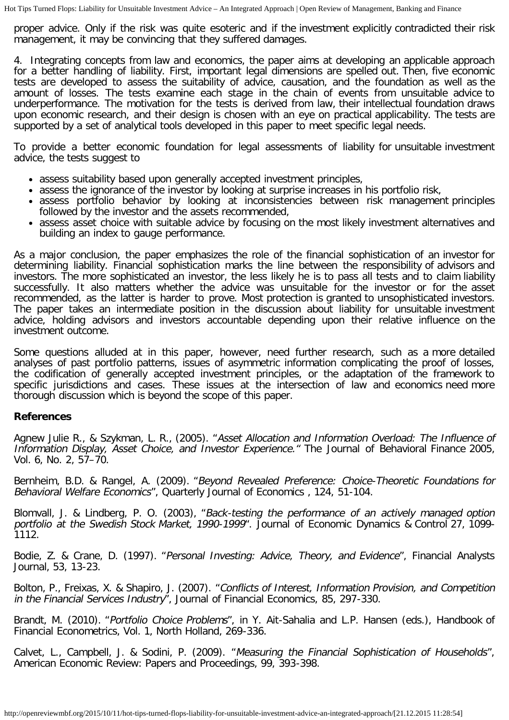proper advice. Only if the risk was quite esoteric and if the investment explicitly contradicted their risk management, it may be convincing that they suffered damages.

4. Integrating concepts from law and economics, the paper aims at developing an applicable approach for a better handling of liability. First, important legal dimensions are spelled out. Then, five economic tests are developed to assess the suitability of advice, causation, and the foundation as well as the amount of losses. The tests examine each stage in the chain of events from unsuitable advice to underperformance. The motivation for the tests is derived from law, their intellectual foundation draws upon economic research, and their design is chosen with an eye on practical applicability. The tests are supported by a set of analytical tools developed in this paper to meet specific legal needs.

To provide a better economic foundation for legal assessments of liability for unsuitable investment advice, the tests suggest to

- assess suitability based upon generally accepted investment principles,
- assess the ignorance of the investor by looking at surprise increases in his portfolio risk,
- assess portfolio behavior by looking at inconsistencies between risk management principles followed by the investor and the assets recommended,
- assess asset choice with suitable advice by focusing on the most likely investment alternatives and building an index to gauge performance.

As a major conclusion, the paper emphasizes the role of the financial sophistication of an investor for determining liability. Financial sophistication marks the line between the responsibility of advisors and investors. The more sophisticated an investor, the less likely he is to pass all tests and to claim liability successfully. It also matters whether the advice was unsuitable for the investor or for the asset recommended, as the latter is harder to prove. Most protection is granted to unsophisticated investors. The paper takes an intermediate position in the discussion about liability for unsuitable investment advice, holding advisors and investors accountable depending upon their relative influence on the investment outcome.

Some questions alluded at in this paper, however, need further research, such as a more detailed analyses of past portfolio patterns, issues of asymmetric information complicating the proof of losses, the codification of generally accepted investment principles, or the adaptation of the framework to specific jurisdictions and cases. These issues at the intersection of law and economics need more thorough discussion which is beyond the scope of this paper.

### **References**

Agnew Julie R., & Szykman, L. R., (2005). "Asset Allocation and Information Overload: The Influence of Information Display, Asset Choice, and Investor Experience." The Journal of Behavioral Finance 2005, Vol. 6, No. 2, 57–70.

Bernheim, B.D. & Rangel, A. (2009). "Beyond Revealed Preference: Choice-Theoretic Foundations for Behavioral Welfare Economics", Quarterly Journal of Economics , 124, 51-104.

Blomvall, J. & Lindberg, P. O. (2003), "Back-testing the performance of an actively managed option portfolio at the Swedish Stock Market, 1990-1999". Journal of Economic Dynamics & Control 27, 1099- 1112.

Bodie, Z. & Crane, D. (1997). "Personal Investing: Advice, Theory, and Evidence", Financial Analysts Journal, 53, 13-23.

Bolton, P., Freixas, X. & Shapiro, J. (2007). "Conflicts of Interest, Information Provision, and Competition in the Financial Services Industry", Journal of Financial Economics, 85, 297-330.

Brandt, M. (2010). "Portfolio Choice Problems", in Y. Ait-Sahalia and L.P. Hansen (eds.), Handbook of Financial Econometrics, Vol. 1, North Holland, 269-336.

Calvet, L., Campbell, J. & Sodini, P. (2009). "Measuring the Financial Sophistication of Households", American Economic Review: Papers and Proceedings, 99, 393-398.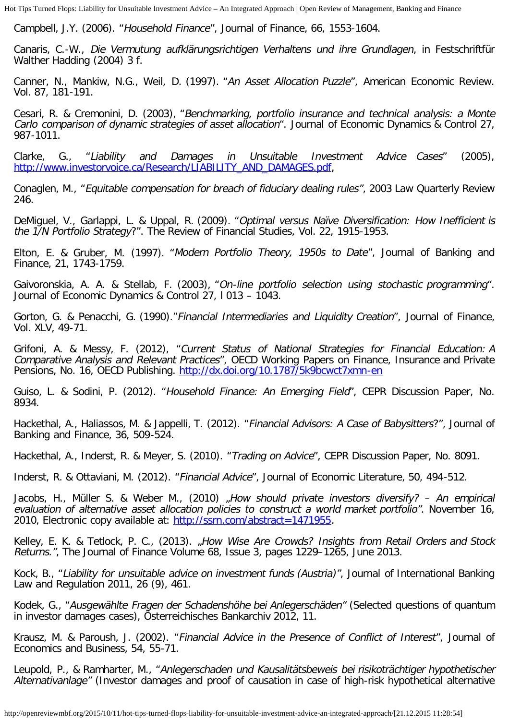Campbell, J.Y. (2006). "Household Finance", Journal of Finance, 66, 1553-1604.

Canaris, C.-W., Die Vermutung aufklärungsrichtigen Verhaltens und ihre Grundlagen, in Festschriftfür Walther Hadding (2004) 3 f.

Canner, N., Mankiw, N.G., Weil, D. (1997). "An Asset Allocation Puzzle", American Economic Review. Vol. 87, 181-191.

Cesari, R. & Cremonini, D. (2003), "Benchmarking, portfolio insurance and technical analysis: a Monte Carlo comparison of dynamic strategies of asset allocation". Journal of Economic Dynamics & Control 27, 987-1011.

Clarke, G., "Liability and Damages in Unsuitable Investment Advice Cases" (2005), [http://www.investorvoice.ca/Research/LIABILITY\\_AND\\_DAMAGES.pdf](http://www.investorvoice.ca/Research/LIABILITY_AND_DAMAGES.pdf),

Conaglen, M., "Equitable compensation for breach of fiduciary dealing rules", 2003 Law Quarterly Review 246.

DeMiguel, V., Garlappi, L. & Uppal, R. (2009). "Optimal versus Naïve Diversification: How Inefficient is the 1/N Portfolio Strategy?". The Review of Financial Studies, Vol. 22, 1915-1953.

Elton, E. & Gruber, M. (1997). "Modern Portfolio Theory, 1950s to Date", Journal of Banking and Finance, 21, 1743-1759.

Gaivoronskia, A. A. & Stellab, F. (2003), "On-line portfolio selection using stochastic programming". Journal of Economic Dynamics & Control 27, l 013 – 1043.

Gorton, G. & Penacchi, G. (1990)."Financial Intermediaries and Liquidity Creation", Journal of Finance, Vol. XLV, 49-71.

Grifoni, A. & Messy, F. (2012), "Current Status of National Strategies for Financial Education: A Comparative Analysis and Relevant Practices", OECD Working Papers on Finance, Insurance and Private Pensions, No. 16, OECD Publishing. <http://dx.doi.org/10.1787/5k9bcwct7xmn-en>

Guiso, L. & Sodini, P. (2012). "Household Finance: An Emerging Field", CEPR Discussion Paper, No. 8934.

Hackethal, A., Haliassos, M. & Jappelli, T. (2012). "Financial Advisors: A Case of Babysitters?", Journal of Banking and Finance, 36, 509-524.

Hackethal, A., Inderst, R. & Meyer, S. (2010). "Trading on Advice", CEPR Discussion Paper, No. 8091.

Inderst, R. & Ottaviani, M. (2012). "Financial Advice", Journal of Economic Literature, 50, 494-512.

Jacobs, H., Müller S. & Weber M., (2010) "How should private investors diversify? - An empirical evaluation of alternative asset allocation policies to construct a world market portfolio". November 16, 2010, Electronic copy available at: [http://ssrn.com/abstract=1471955.](http://ssrn.com/abstract=1471955)

Kelley, E. K. & Tetlock, P. C., (2013). "How Wise Are Crowds? Insights from Retail Orders and Stock Returns.", The Journal of Finance Volume 68, Issue 3, pages 1229–1265, June 2013.

Kock, B., "Liability for unsuitable advice on investment funds (Austria)", Journal of International Banking Law and Regulation 2011, 26 (9), 461.

Kodek, G., "Ausgewählte Fragen der Schadenshöhe bei Anlegerschäden" (Selected questions of quantum in investor damages cases), Österreichisches Bankarchiv 2012, 11.

Krausz, M. & Paroush, J. (2002). "Financial Advice in the Presence of Conflict of Interest", Journal of Economics and Business, 54, 55-71.

Leupold, P., & Ramharter, M., "Anlegerschaden und Kausalitätsbeweis bei risikoträchtiger hypothetischer Alternativanlage" (Investor damages and proof of causation in case of high-risk hypothetical alternative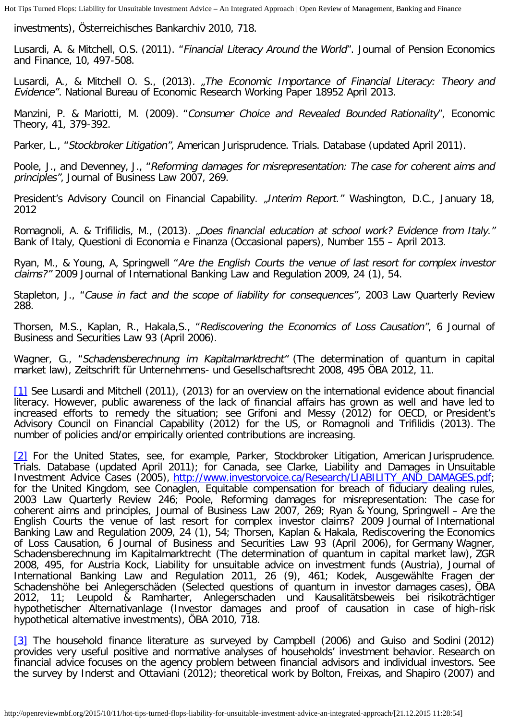investments), Österreichisches Bankarchiv 2010, 718.

Lusardi, A. & Mitchell, O.S. (2011). "Financial Literacy Around the World". Journal of Pension Economics and Finance, 10, 497-508.

Lusardi, A., & Mitchell O. S., (2013). "The Economic Importance of Financial Literacy: Theory and Evidence". National Bureau of Economic Research Working Paper 18952 April 2013.

Manzini, P. & Mariotti, M. (2009). "Consumer Choice and Revealed Bounded Rationality", Economic Theory, 41, 379-392.

Parker, L., "Stockbroker Litigation", American Jurisprudence. Trials. Database (updated April 2011).

Poole, J., and Devenney, J., "Reforming damages for misrepresentation: The case for coherent aims and principles", Journal of Business Law 2007, 269.

President's Advisory Council on Financial Capability. "Interim Report." Washington, D.C., January 18, 2012

Romagnoli, A. & Trifilidis, M., (2013). "Does financial education at school work? Evidence from Italy." Bank of Italy, Questioni di Economia e Finanza (Occasional papers), Number 155 – April 2013.

Ryan, M., & Young, A, Springwell "Are the English Courts the venue of last resort for complex investor claims?" 2009 Journal of International Banking Law and Regulation 2009, 24 (1), 54.

Stapleton, J., "Cause in fact and the scope of liability for consequences", 2003 Law Quarterly Review 288.

Thorsen, M.S., Kaplan, R., Hakala,S., "Rediscovering the Economics of Loss Causation", 6 Journal of Business and Securities Law 93 (April 2006).

Wagner, G., "Schadensberechnung im Kapitalmarktrecht" (The determination of quantum in capital market law), Zeitschrift für Unternehmens- und Gesellschaftsrecht 2008, 495 ÖBA 2012, 11.

<span id="page-14-0"></span>[\[1\]](#page-2-0) See Lusardi and Mitchell (2011), (2013) for an overview on the international evidence about financial literacy. However, public awareness of the lack of financial affairs has grown as well and have led to increased efforts to remedy the situation; see Grifoni and Messy (2012) for OECD, or President's Advisory Council on Financial Capability (2012) for the US, or Romagnoli and Trifilidis (2013). The number of policies and/or empirically oriented contributions are increasing.

<span id="page-14-1"></span>[\[2\]](#page-2-1) For the United States, see, for example, Parker, Stockbroker Litigation, American Jurisprudence. Trials. Database (updated April 2011); for Canada, see Clarke, Liability and Damages in Unsuitable Investment Advice Cases (2005), [http://www.investorvoice.ca/Research/LIABILITY\\_AND\\_DAMAGES.pdf](http://www.investorvoice.ca/Research/LIABILITY_AND_DAMAGES.pdf); for the United Kingdom, see Conaglen, Equitable compensation for breach of fiduciary dealing rules, 2003 Law Quarterly Review 246; Poole, Reforming damages for misrepresentation: The case for coherent aims and principles, Journal of Business Law 2007, 269; Ryan & Young, Springwell – Are the English Courts the venue of last resort for complex investor claims? 2009 Journal of International Banking Law and Regulation 2009, 24 (1), 54; Thorsen, Kaplan & Hakala, Rediscovering the Economics of Loss Causation, 6 Journal of Business and Securities Law 93 (April 2006), for Germany Wagner, Schadensberechnung im Kapitalmarktrecht (The determination of quantum in capital market law), ZGR 2008, 495, for Austria Kock, Liability for unsuitable advice on investment funds (Austria), Journal of International Banking Law and Regulation 2011, 26 (9), 461; Kodek, Ausgewählte Fragen der Schadenshöhe bei Anlegerschäden (Selected questions of quantum in investor damages cases), ÖBA 2012, 11; Leupold & Ramharter, Anlegerschaden und Kausalitätsbeweis bei risikoträchtiger hypothetischer Alternativanlage (Investor damages and proof of causation in case of high-risk hypothetical alternative investments), ÖBA 2010, 718.

<span id="page-14-2"></span>[\[3\]](#page-2-2) The household finance literature as surveyed by Campbell (2006) and Guiso and Sodini (2012) provides very useful positive and normative analyses of households' investment behavior. Research on financial advice focuses on the agency problem between financial advisors and individual investors. See the survey by Inderst and Ottaviani (2012); theoretical work by Bolton, Freixas, and Shapiro (2007) and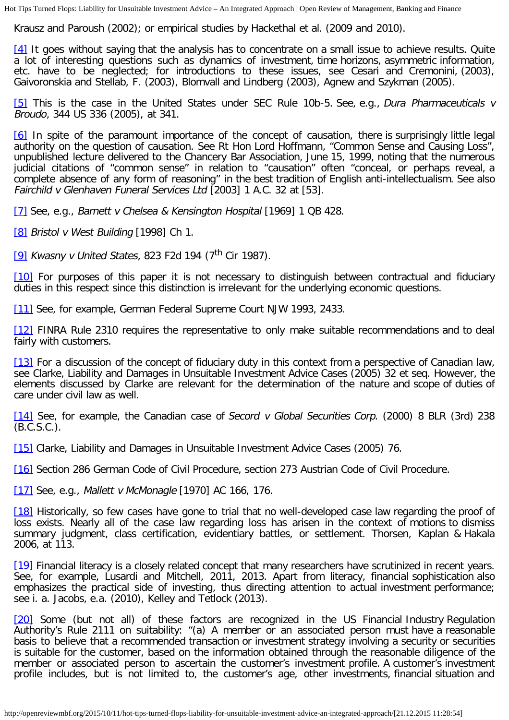Krausz and Paroush (2002); or empirical studies by Hackethal et al. (2009 and 2010).

<span id="page-15-0"></span>[\[4\]](#page-2-3) It goes without saying that the analysis has to concentrate on a small issue to achieve results. Quite a lot of interesting questions such as dynamics of investment, time horizons, asymmetric information, etc. have to be neglected; for introductions to these issues, see Cesari and Cremonini, (2003), Gaivoronskia and Stellab, F. (2003), Blomvall and Lindberg (2003), Agnew and Szykman (2005).

<span id="page-15-1"></span>[\[5\]](#page-2-4) This is the case in the United States under SEC Rule 10b-5. See, e.g., Dura Pharmaceuticals v Broudo, 344 US 336 (2005), at 341.

<span id="page-15-2"></span>[\[6\]](#page-2-5) In spite of the paramount importance of the concept of causation, there is surprisingly little legal authority on the question of causation. See Rt Hon Lord Hoffmann, "Common Sense and Causing Loss", unpublished lecture delivered to the Chancery Bar Association, June 15, 1999, noting that the numerous judicial citations of "common sense" in relation to "causation" often "conceal, or perhaps reveal, a complete absence of any form of reasoning" in the best tradition of English anti-intellectualism. See also Fairchild v Glenhaven Funeral Services Ltd [2003] 1 A.C. 32 at [53].

<span id="page-15-3"></span>[\[7\]](#page-2-6) See, e.g., Barnett v Chelsea & Kensington Hospital [1969] 1 QB 428.

<span id="page-15-4"></span>[\[8\]](#page-2-7) Bristol v West Building [1998] Ch 1.

<span id="page-15-5"></span>[\[9\]](#page-2-8) Kwasny v United States, 823 F2d 194 (7<sup>th</sup> Cir 1987).

<span id="page-15-6"></span>[\[10\]](#page-3-0) For purposes of this paper it is not necessary to distinguish between contractual and fiduciary duties in this respect since this distinction is irrelevant for the underlying economic questions.

<span id="page-15-7"></span>[\[11\]](#page-3-1) See, for example, German Federal Supreme Court NJW 1993, 2433.

<span id="page-15-8"></span>[\[12\]](#page-3-2) FINRA Rule 2310 requires the representative to only make suitable recommendations and to deal fairly with customers.

<span id="page-15-9"></span>[\[13\]](#page-3-3) For a discussion of the concept of fiduciary duty in this context from a perspective of Canadian law, see Clarke, Liability and Damages in Unsuitable Investment Advice Cases (2005) 32 et seq. However, the elements discussed by Clarke are relevant for the determination of the nature and scope of duties of care under civil law as well.

<span id="page-15-10"></span>[\[14\]](#page-3-4) See, for example, the Canadian case of Secord v Global Securities Corp. (2000) 8 BLR (3rd) 238 (B.C.S.C.).

<span id="page-15-11"></span>[\[15\]](#page-3-5) Clarke, Liability and Damages in Unsuitable Investment Advice Cases (2005) 76.

<span id="page-15-12"></span>[\[16\]](#page-3-6) Section 286 German Code of Civil Procedure, section 273 Austrian Code of Civil Procedure.

<span id="page-15-13"></span>[\[17\]](#page-3-7) See, e.g., Mallett v McMonagle [1970] AC 166, 176.

<span id="page-15-14"></span>[\[18\]](#page-4-0) Historically, so few cases have gone to trial that no well-developed case law regarding the proof of loss exists. Nearly all of the case law regarding loss has arisen in the context of motions to dismiss summary judgment, class certification, evidentiary battles, or settlement. Thorsen, Kaplan & Hakala 2006, at 113.

<span id="page-15-15"></span>[\[19\]](#page-4-1) Financial literacy is a closely related concept that many researchers have scrutinized in recent years. See, for example, Lusardi and Mitchell, 2011, 2013. Apart from literacy, financial sophistication also emphasizes the practical side of investing, thus directing attention to actual investment performance; see i. a. Jacobs, e.a. (2010), Kelley and Tetlock (2013).

<span id="page-15-16"></span>[\[20\]](#page-4-2) Some (but not all) of these factors are recognized in the US Financial Industry Regulation Authority's Rule 2111 on suitability: "(a) A member or an associated person must have a reasonable basis to believe that a recommended transaction or investment strategy involving a security or securities is suitable for the customer, based on the information obtained through the reasonable diligence of the member or associated person to ascertain the customer's investment profile. A customer's investment profile includes, but is not limited to, the customer's age, other investments, financial situation and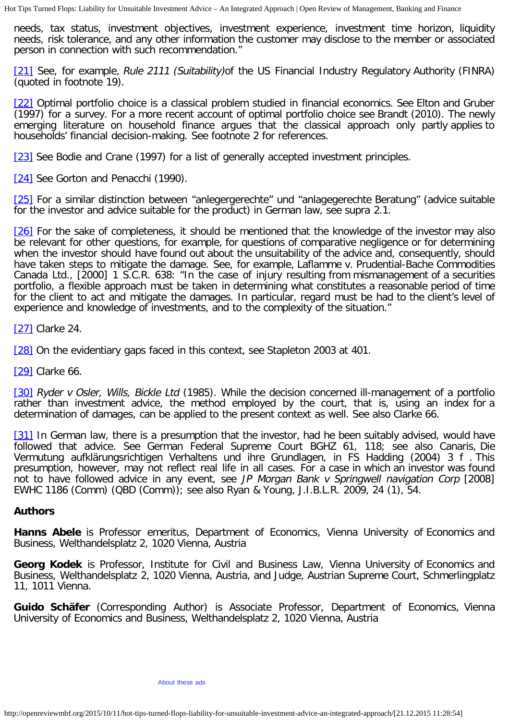needs, tax status, investment objectives, investment experience, investment time horizon, liquidity needs, risk tolerance, and any other information the customer may disclose to the member or associated person in connection with such recommendation."

<span id="page-16-0"></span>[\[21\]](#page-5-0) See, for example, Rule 2111 (Suitability) of the US Financial Industry Regulatory Authority (FINRA) (quoted in footnote 19).

<span id="page-16-1"></span>[\[22\]](#page-5-1) Optimal portfolio choice is a classical problem studied in financial economics. See Elton and Gruber (1997) for a survey. For a more recent account of optimal portfolio choice see Brandt (2010). The newly emerging literature on household finance argues that the classical approach only partly applies to households' financial decision-making. See footnote 2 for references.

<span id="page-16-2"></span>[\[23\]](#page-5-1) See Bodie and Crane (1997) for a list of generally accepted investment principles.

<span id="page-16-3"></span>[\[24\]](#page-5-2) See Gorton and Penacchi (1990).

<span id="page-16-4"></span>[\[25\]](#page-6-0) For a similar distinction between "anlegergerechte" und "anlagegerechte Beratung" (advice suitable for the investor and advice suitable for the product) in German law, see supra 2.1.

<span id="page-16-5"></span>[\[26\]](#page-6-1) For the sake of completeness, it should be mentioned that the knowledge of the investor may also be relevant for other questions, for example, for questions of comparative negligence or for determining when the investor should have found out about the unsuitability of the advice and, consequently, should have taken steps to mitigate the damage. See, for example, Laflamme v. Prudential-Bache Commodities Canada Ltd., [2000] 1 S.C.R. 638: "In the case of injury resulting from mismanagement of a securities portfolio, a flexible approach must be taken in determining what constitutes a reasonable period of time for the client to act and mitigate the damages. In particular, regard must be had to the client's level of experience and knowledge of investments, and to the complexity of the situation."

<span id="page-16-6"></span>[\[27\]](#page-7-0) Clarke 24.

<span id="page-16-7"></span>[\[28\]](#page-9-0) On the evidentiary gaps faced in this context, see Stapleton 2003 at 401.

<span id="page-16-8"></span>[\[29\]](#page-9-1) Clarke 66.

<span id="page-16-9"></span>[\[30\]](#page-9-2) Ryder v Osler, Wills, Bickle Ltd (1985). While the decision concerned ill-management of a portfolio rather than investment advice, the method employed by the court, that is, using an index for a determination of damages, can be applied to the present context as well. See also Clarke 66.

<span id="page-16-10"></span>[\[31\]](#page-10-0) In German law, there is a presumption that the investor, had he been suitably advised, would have followed that advice. See German Federal Supreme Court BGHZ 61, 118; see also Canaris, Die Vermutung aufklärungsrichtigen Verhaltens und ihre Grundlagen, in FS Hadding (2004) 3 f . This presumption, however, may not reflect real life in all cases. For a case in which an investor was found not to have followed advice in any event, see JP Morgan Bank v Springwell navigation Corp [2008] EWHC 1186 (Comm) (QBD (Comm)); see also Ryan & Young, J.I.B.L.R. 2009, 24 (1), 54.

### **Authors**

**Hanns Abele** is Professor emeritus, Department of Economics, Vienna University of Economics and Business, Welthandelsplatz 2, 1020 Vienna, Austria

**Georg Kodek** is Professor, Institute for Civil and Business Law, Vienna University of Economics and Business, Welthandelsplatz 2, 1020 Vienna, Austria, and Judge, Austrian Supreme Court, Schmerlingplatz 11, 1011 Vienna.

**Guido Schäfer** (Corresponding Author) is Associate Professor, Department of Economics, Vienna University of Economics and Business, Welthandelsplatz 2, 1020 Vienna, Austria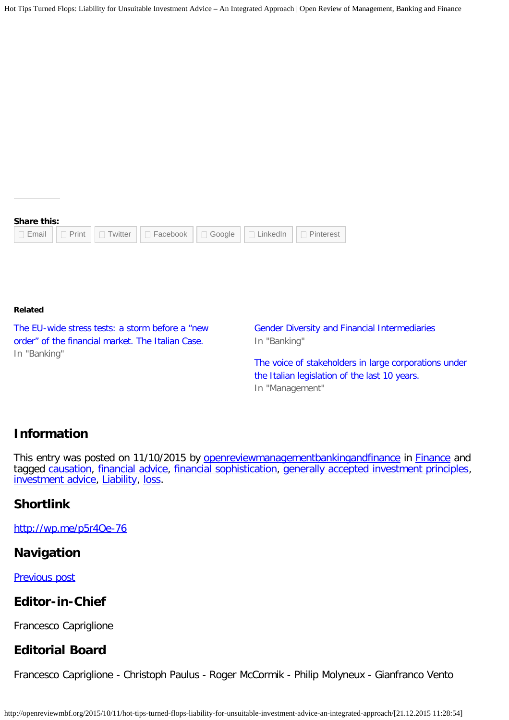# **Share this:**

|  |  |  | □ Email     □ Print     □ Twitter     □ Facebook     □ Google     □ LinkedIn     □ Pinterest |  |  |  |
|--|--|--|----------------------------------------------------------------------------------------------|--|--|--|
|--|--|--|----------------------------------------------------------------------------------------------|--|--|--|

#### **Related**

[The EU-wide stress tests: a storm before](http://openreviewmbf.org/2015/02/15/the-eu-wide-stress-tests-a-storm-before-a-new-order-of-the-financial-market-the-italian-case/) a "new [order" of the financial market. The Italian Case.](http://openreviewmbf.org/2015/02/15/the-eu-wide-stress-tests-a-storm-before-a-new-order-of-the-financial-market-the-italian-case/) In "Banking"

[Gender Diversity and Financial Intermediaries](http://openreviewmbf.org/2015/07/13/gender-parity-financial-intermediaries/) In "Banking"

[The voice of stakeholders in large corporations under](http://openreviewmbf.org/2015/05/13/the-voice-of-stakeholders-in-large-corporations-under-the-italian-legislation-of-the-last-10-years/) [the Italian legislation of the last 10 years.](http://openreviewmbf.org/2015/05/13/the-voice-of-stakeholders-in-large-corporations-under-the-italian-legislation-of-the-last-10-years/) In "Management"

## **Information**

This entry was posted on 11/10/2015 by [openreviewmanagementbankingandfinance](http://openreviewmbf.org/author/openreviewmanagementbankingandfinance/) in [Finance](http://openreviewmbf.org/category/finance/) and tagged [causation,](http://openreviewmbf.org/tag/causation/) [financial advice](http://openreviewmbf.org/tag/financial-advice/), [financial sophistication,](http://openreviewmbf.org/tag/financial-sophistication/) [generally accepted investment principles,](http://openreviewmbf.org/tag/generally-accepted-investment-principles/) [investment advice](http://openreviewmbf.org/tag/investment-advice/), [Liability,](http://openreviewmbf.org/tag/liability/) [loss.](http://openreviewmbf.org/tag/loss/)

## **Shortlink**

<http://wp.me/p5r4Oe-76>

### **Navigation**

[Previous post](http://openreviewmbf.org/2015/09/27/general-principles-of-law/)

## **Editor-in-Chief**

Francesco Capriglione

## **Editorial Board**

Francesco Capriglione - Christoph Paulus - Roger McCormik - Philip Molyneux - Gianfranco Vento